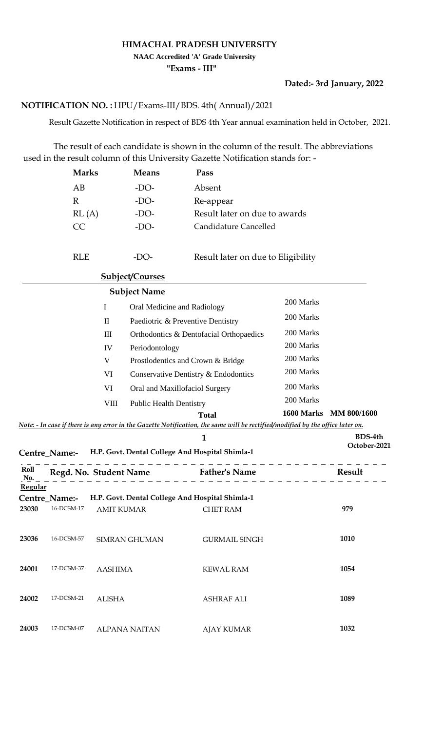## **HIMACHAL PRADESH UNIVERSITY**

**NAAC Accredited 'A' Grade University**

**"Exams - III"**

## **Dated:- 3rd January, 2022**

## HPU/Exams-III/BDS. 4th( Annual)/2021 **NOTIFICATION NO. :**

Result Gazette Notification in respect of BDS 4th Year annual examination held in October, 2021.

 The result of each candidate is shown in the column of the result. The abbreviations used in the result column of this University Gazette Notification stands for: -

|             | <b>Marks</b>                |                   | <b>Means</b>           | Pass                                                                                                                           |            |                    |
|-------------|-----------------------------|-------------------|------------------------|--------------------------------------------------------------------------------------------------------------------------------|------------|--------------------|
|             | AB                          |                   | $-DO-$                 | Absent                                                                                                                         |            |                    |
|             | $\mathbb{R}$                |                   | $-DO-$                 | Re-appear                                                                                                                      |            |                    |
|             | RL(A)                       |                   | -DO-                   | Result later on due to awards                                                                                                  |            |                    |
|             | CC                          |                   | $-DO-$                 | Candidature Cancelled                                                                                                          |            |                    |
|             | <b>RLE</b>                  |                   | $-DO-$                 | Result later on due to Eligibility                                                                                             |            |                    |
|             |                             |                   | <b>Subject/Courses</b> |                                                                                                                                |            |                    |
|             |                             |                   | <b>Subject Name</b>    |                                                                                                                                |            |                    |
|             |                             | I                 |                        | Oral Medicine and Radiology                                                                                                    | 200 Marks  |                    |
|             |                             | $\mathbf{I}$      |                        | Paediotric & Preventive Dentistry                                                                                              | 200 Marks  |                    |
|             |                             | $\rm III$         |                        | Orthodontics & Dentofacial Orthopaedics                                                                                        | 200 Marks  |                    |
|             |                             | IV                | Periodontology         |                                                                                                                                | 200 Marks  |                    |
|             |                             | V                 |                        | Prostlodentics and Crown & Bridge                                                                                              | 200 Marks  |                    |
|             |                             | VI                |                        | Conservative Dentistry & Endodontics                                                                                           | 200 Marks  |                    |
|             |                             | VI                |                        | Oral and Maxillofaciol Surgery                                                                                                 | 200 Marks  |                    |
|             |                             | <b>VIII</b>       |                        | <b>Public Health Dentistry</b>                                                                                                 | 200 Marks  |                    |
|             |                             |                   |                        | <b>Total</b>                                                                                                                   | 1600 Marks | <b>MM 800/1600</b> |
|             |                             |                   |                        | Note: - In case if there is any error in the Gazette Notification, the same will be rectified/modified by the office later on. |            |                    |
|             |                             |                   |                        | 1                                                                                                                              |            | BDS-4th            |
|             | Centre Name:-               |                   |                        | H.P. Govt. Dental College And Hospital Shimla-1                                                                                |            | October-2021       |
| Roll<br>No. | Regd. No. Student Name      |                   |                        | <b>Father's Name</b>                                                                                                           |            | Result             |
| Regular     |                             |                   |                        |                                                                                                                                |            |                    |
|             | Centre_Name:-<br>16-DCSM-17 |                   |                        | H.P. Govt. Dental College And Hospital Shimla-1                                                                                |            |                    |
| 23030       |                             | <b>AMIT KUMAR</b> |                        | <b>CHET RAM</b>                                                                                                                |            | 979                |
| 23036       | 16-DCSM-57                  |                   | <b>SIMRAN GHUMAN</b>   | <b>GURMAIL SINGH</b>                                                                                                           |            | 1010               |
| 24001       | 17-DCSM-37                  | <b>AASHIMA</b>    |                        | <b>KEWAL RAM</b>                                                                                                               |            | 1054               |
| 24002       | 17-DCSM-21                  | <b>ALISHA</b>     |                        | <b>ASHRAF ALI</b>                                                                                                              |            | 1089               |
| 24003       | 17-DCSM-07                  |                   | <b>ALPANA NAITAN</b>   | <b>AJAY KUMAR</b>                                                                                                              |            | 1032               |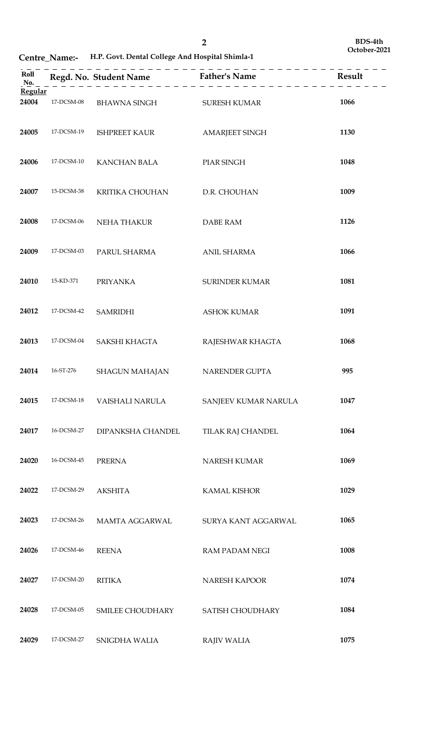**Centre\_Name:- H.P. Govt. Dental College And Hospital Shimla-1**

| Roll<br>No. |            |                           | Regd. No. Student Name<br>$\begin{array}{c} \text{Regd. No. Student Name} \\ \hline \end{array}$ |      |
|-------------|------------|---------------------------|--------------------------------------------------------------------------------------------------|------|
| Regular     |            |                           |                                                                                                  |      |
| 24004       | 17-DCSM-08 | BHAWNA SINGH SURESH KUMAR |                                                                                                  | 1066 |
| 24005       | 17-DCSM-19 | <b>ISHPREET KAUR</b>      | <b>AMARJEET SINGH</b>                                                                            | 1130 |
| 24006       | 17-DCSM-10 | <b>KANCHAN BALA</b>       | PIAR SINGH                                                                                       | 1048 |
| 24007       | 15-DCSM-38 | KRITIKA CHOUHAN           | D.R. CHOUHAN                                                                                     | 1009 |
| 24008       | 17-DCSM-06 | NEHA THAKUR               | <b>DABE RAM</b>                                                                                  | 1126 |
| 24009       | 17-DCSM-03 | PARUL SHARMA              | <b>ANIL SHARMA</b>                                                                               | 1066 |
| 24010       | 15-KD-371  | <b>PRIYANKA</b>           | <b>SURINDER KUMAR</b>                                                                            | 1081 |
| 24012       | 17-DCSM-42 | <b>SAMRIDHI</b>           | <b>ASHOK KUMAR</b>                                                                               | 1091 |
| 24013       | 17-DCSM-04 | SAKSHI KHAGTA             | RAJESHWAR KHAGTA                                                                                 | 1068 |
| 24014       | 16-ST-276  | <b>SHAGUN MAHAJAN</b>     | NARENDER GUPTA                                                                                   | 995  |
| 24015       | 17-DCSM-18 | <b>VAISHALI NARULA</b>    | SANJEEV KUMAR NARULA                                                                             | 1047 |
| 24017       | 16-DCSM-27 | DIPANKSHA CHANDEL         | TILAK RAJ CHANDEL                                                                                | 1064 |
| 24020       | 16-DCSM-45 | <b>PRERNA</b>             | NARESH KUMAR                                                                                     | 1069 |
| 24022       | 17-DCSM-29 | <b>AKSHITA</b>            | <b>KAMAL KISHOR</b>                                                                              | 1029 |
| 24023       | 17-DCSM-26 | MAMTA AGGARWAL            | SURYA KANT AGGARWAL                                                                              | 1065 |
| 24026       | 17-DCSM-46 | <b>REENA</b>              | <b>RAM PADAM NEGI</b>                                                                            | 1008 |
| 24027       | 17-DCSM-20 | <b>RITIKA</b>             | NARESH KAPOOR                                                                                    | 1074 |
| 24028       | 17-DCSM-05 | SMILEE CHOUDHARY          | SATISH CHOUDHARY                                                                                 | 1084 |
| 24029       | 17-DCSM-27 | SNIGDHA WALIA             | <b>RAJIV WALIA</b>                                                                               | 1075 |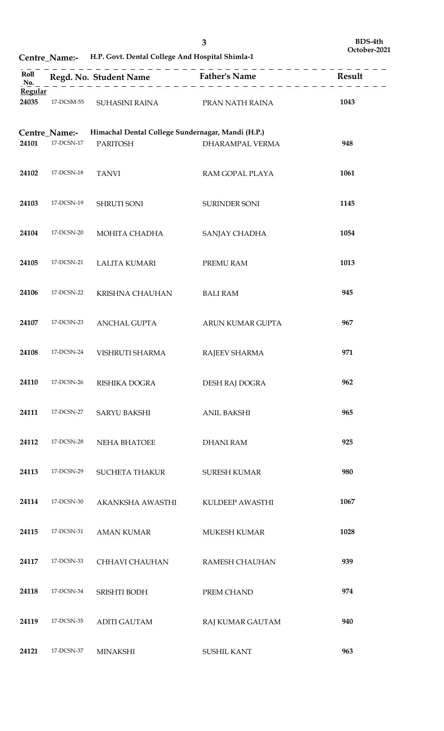**Centre\_Name:- H.P. Govt. Dental College And Hospital Shimla-1**

| Roll<br>No.      |                             |                                                                      | Regd. No. Student Name Father's Name | Result |
|------------------|-----------------------------|----------------------------------------------------------------------|--------------------------------------|--------|
| Regular<br>24035 | 17-DCSM-55                  | SUHASINI RAINA PRAN NATH RAINA                                       |                                      | 1043   |
| 24101            | Centre_Name:-<br>17-DCSN-17 | Himachal Dental College Sundernagar, Mandi (H.P.)<br><b>PARITOSH</b> | DHARAMPAL VERMA                      | 948    |
| 24102            | 17-DCSN-18                  | <b>TANVI</b>                                                         | RAM GOPAL PLAYA                      | 1061   |
| 24103            | 17-DCSN-19                  | SHRUTI SONI                                                          | SURINDER SONI                        | 1145   |
| 24104            | 17-DCSN-20                  | MOHITA CHADHA                                                        | SANJAY CHADHA                        | 1054   |
| 24105            | 17-DCSN-21                  | <b>LALITA KUMARI</b>                                                 | PREMU RAM                            | 1013   |
| 24106            | 17-DCSN-22                  | KRISHNA CHAUHAN                                                      | <b>BALI RAM</b>                      | 945    |
| 24107            | 17-DCSN-23                  | ANCHAL GUPTA                                                         | ARUN KUMAR GUPTA                     | 967    |
| 24108            | 17-DCSN-24                  | VISHRUTI SHARMA                                                      | RAJEEV SHARMA                        | 971    |
| 24110            | $17$ -DCSN-26               | RISHIKA DOGRA                                                        | DESH RAJ DOGRA                       | 962    |
| 24111            | 17-DCSN-27                  | <b>SARYU BAKSHI</b>                                                  | <b>ANIL BAKSHI</b>                   | 965    |
| 24112            | 17-DCSN-28                  | NEHA BHATOEE                                                         | <b>DHANI RAM</b>                     | 925    |
| 24113            | 17-DCSN-29                  | <b>SUCHETA THAKUR</b>                                                | <b>SURESH KUMAR</b>                  | 980    |
| 24114            | 17-DCSN-30                  | AKANKSHA AWASTHI                                                     | KULDEEP AWASTHI                      | 1067   |
| 24115            | 17-DCSN-31                  | <b>AMAN KUMAR</b>                                                    | <b>MUKESH KUMAR</b>                  | 1028   |
| 24117            | 17-DCSN-33                  | CHHAVI CHAUHAN                                                       | <b>RAMESH CHAUHAN</b>                | 939    |
| 24118            | 17-DCSN-34                  | SRISHTI BODH                                                         | PREM CHAND                           | 974    |
| 24119            | 17-DCSN-35                  | <b>ADITI GAUTAM</b>                                                  | RAJ KUMAR GAUTAM                     | 940    |
| 24121            | 17-DCSN-37                  | <b>MINAKSHI</b>                                                      | <b>SUSHIL KANT</b>                   | 963    |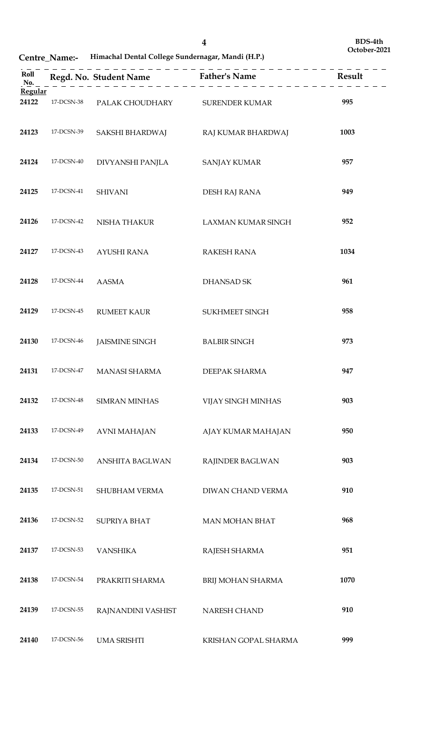**Centre\_Name:- Himachal Dental College Sundernagar, Mandi (H.P.)**

|                  |               |                                    | $    -$<br>Roll<br>No. $\begin{array}{c} \text{Real} \\ \text{Neqd. No. Student Name} \end{array}$ Father's Name<br>No. $\begin{array}{c} \text{Result} \\ \text{Reqd. A} \end{array}$ |      |
|------------------|---------------|------------------------------------|----------------------------------------------------------------------------------------------------------------------------------------------------------------------------------------|------|
| Regular<br>24122 | 17-DCSN-38    | PALAK CHOUDHARY SURENDER KUMAR     |                                                                                                                                                                                        | 995  |
| 24123            | 17-DCSN-39    | SAKSHI BHARDWAJ RAJ KUMAR BHARDWAJ |                                                                                                                                                                                        | 1003 |
| 24124            | 17-DCSN-40    | DIVYANSHI PANJLA                   | <b>SANJAY KUMAR</b>                                                                                                                                                                    | 957  |
| 24125            | 17-DCSN-41    | <b>SHIVANI</b>                     | DESH RAJ RANA                                                                                                                                                                          | 949  |
| 24126            | 17-DCSN-42    | NISHA THAKUR                       | <b>LAXMAN KUMAR SINGH</b>                                                                                                                                                              | 952  |
| 24127            | 17-DCSN-43    | AYUSHI RANA                        | RAKESH RANA                                                                                                                                                                            | 1034 |
| 24128            | 17-DCSN-44    | AASMA                              | <b>DHANSAD SK</b>                                                                                                                                                                      | 961  |
| 24129            | 17-DCSN-45    | <b>RUMEET KAUR</b>                 | SUKHMEET SINGH                                                                                                                                                                         | 958  |
| 24130            | 17-DCSN-46    | <b>JAISMINE SINGH</b>              | <b>BALBIR SINGH</b>                                                                                                                                                                    | 973  |
| 24131            | 17-DCSN-47    | MANASI SHARMA                      | DEEPAK SHARMA                                                                                                                                                                          | 947  |
| 24132            | 17-DCSN-48    | <b>SIMRAN MINHAS</b>               | VIJAY SINGH MINHAS                                                                                                                                                                     | 903  |
| 24133            | 17-DCSN-49    | <b>AVNI MAHAJAN</b>                | AJAY KUMAR MAHAJAN                                                                                                                                                                     | 950  |
| 24134            | $17$ -DCSN-50 | <b>ANSHITA BAGLWAN</b>             | RAJINDER BAGLWAN                                                                                                                                                                       | 903  |
| 24135            | 17-DCSN-51    | SHUBHAM VERMA                      | DIWAN CHAND VERMA                                                                                                                                                                      | 910  |
| 24136            | 17-DCSN-52    | SUPRIYA BHAT                       | <b>MAN MOHAN BHAT</b>                                                                                                                                                                  | 968  |
| 24137            | 17-DCSN-53    | <b>VANSHIKA</b>                    | RAJESH SHARMA                                                                                                                                                                          | 951  |
| 24138            | 17-DCSN-54    | PRAKRITI SHARMA                    | BRIJ MOHAN SHARMA                                                                                                                                                                      | 1070 |
| 24139            | 17-DCSN-55    | RAJNANDINI VASHIST                 | NARESH CHAND                                                                                                                                                                           | 910  |
| 24140            | 17-DCSN-56    | <b>UMA SRISHTI</b>                 | KRISHAN GOPAL SHARMA                                                                                                                                                                   | 999  |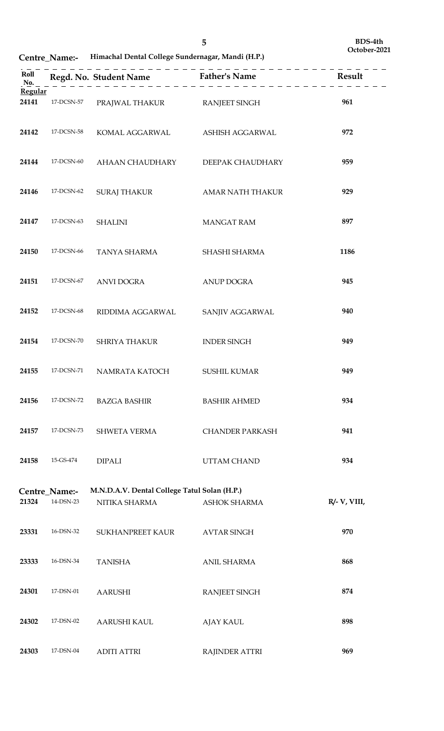**Centre\_Name:- Himachal Dental College Sundernagar, Mandi (H.P.)**

| Regular |               |                                              |                        |              |
|---------|---------------|----------------------------------------------|------------------------|--------------|
| 24141   | 17-DCSN-57    | PRAJWAL THAKUR RANJEET SINGH                 |                        | 961          |
| 24142   | 17-DCSN-58    | KOMAL AGGARWAL ASHISH AGGARWAL               |                        | 972          |
| 24144   | 17-DCSN-60    | AHAAN CHAUDHARY                              | DEEPAK CHAUDHARY       | 959          |
| 24146   | 17-DCSN-62    | SURAJ THAKUR                                 | AMAR NATH THAKUR       | 929          |
| 24147   | 17-DCSN-63    | <b>SHALINI</b>                               | <b>MANGAT RAM</b>      | 897          |
| 24150   | 17-DCSN-66    | TANYA SHARMA                                 | SHASHI SHARMA          | 1186         |
| 24151   | 17-DCSN-67    | ANVI DOGRA                                   | <b>ANUP DOGRA</b>      | 945          |
| 24152   | 17-DCSN-68    | RIDDIMA AGGARWAL                             | SANJIV AGGARWAL        | 940          |
| 24154   | 17-DCSN-70    | <b>SHRIYA THAKUR</b>                         | <b>INDER SINGH</b>     | 949          |
| 24155   | 17-DCSN-71    | NAMRATA KATOCH                               | <b>SUSHIL KUMAR</b>    | 949          |
| 24156   | 17-DCSN-72    | <b>BAZGA BASHIR</b>                          | <b>BASHIR AHMED</b>    | 934          |
| 24157   | 17-DCSN-73    | <b>SHWETA VERMA</b>                          | <b>CHANDER PARKASH</b> | 941          |
| 24158   | 15-GS-474     | <b>DIPALI</b>                                | UTTAM CHAND            | 934          |
|         |               |                                              |                        |              |
|         | Centre_Name:- | M.N.D.A.V. Dental College Tatul Solan (H.P.) |                        |              |
| 21324   | 14-DSN-23     | NITIKA SHARMA                                | <b>ASHOK SHARMA</b>    | R/- V, VIII, |
| 23331   | 16-DSN-32     | SUKHANPREET KAUR                             | <b>AVTAR SINGH</b>     | 970          |
| 23333   | 16-DSN-34     | <b>TANISHA</b>                               | <b>ANIL SHARMA</b>     | 868          |
| 24301   | 17-DSN-01     | <b>AARUSHI</b>                               | <b>RANJEET SINGH</b>   | 874          |
| 24302   | 17-DSN-02     | <b>AARUSHI KAUL</b>                          | <b>AJAY KAUL</b>       | 898          |
| 24303   | 17-DSN-04     | <b>ADITI ATTRI</b>                           | <b>RAJINDER ATTRI</b>  | 969          |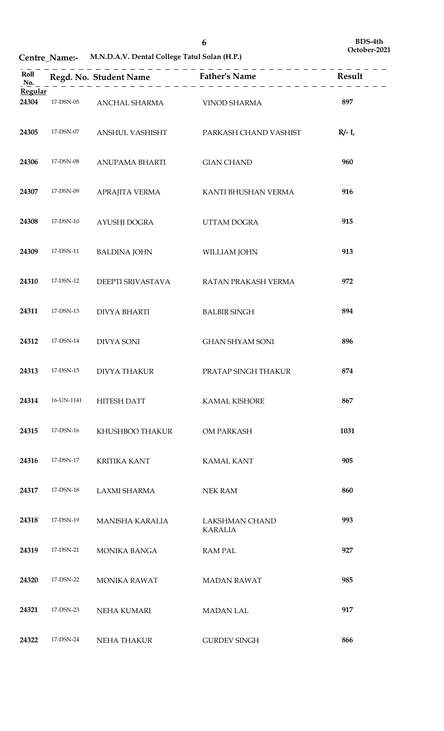**Centre\_Name:- M.N.D.A.V. Dental College Tatul Solan (H.P.)**

|                  |            | --------------                     | . _ _ _ _ _ _ _ _ _ _ _ _ _ _ _ _ _     |           |
|------------------|------------|------------------------------------|-----------------------------------------|-----------|
| Regular<br>24304 | 17-DSN-05  | ANCHAL SHARMA VINOD SHARMA         |                                         | 897       |
|                  |            |                                    |                                         |           |
| 24305            | 17-DSN-07  | ANSHUL VASHISHT                    | PARKASH CHAND VASHIST                   | $R/- I$ , |
| 24306            | 17-DSN-08  | ANUPAMA BHARTI                     | <b>GIAN CHAND</b>                       | 960       |
| 24307            | 17-DSN-09  | APRAJITA VERMA KANTI BHUSHAN VERMA |                                         | 916       |
| 24308            | 17-DSN-10  | AYUSHI DOGRA                       | UTTAM DOGRA                             | 915       |
| 24309            | 17-DSN-11  | <b>BALDINA JOHN</b>                | WILLIAM JOHN                            | 913       |
| 24310            | 17-DSN-12  | DEEPTI SRIVASTAVA                  | RATAN PRAKASH VERMA                     | 972       |
| 24311            | 17-DSN-13  | <b>DIVYA BHARTI</b>                | <b>BALBIR SINGH</b>                     | 894       |
| 24312            | 17-DSN-14  | <b>DIVYA SONI</b>                  | <b>GHAN SHYAM SONI</b>                  | 896       |
| 24313            | 17-DSN-15  | <b>DIVYA THAKUR</b>                | PRATAP SINGH THAKUR                     | 874       |
| 24314            | 16-UN-1141 | <b>HITESH DATT</b>                 | <b>KAMAL KISHORE</b>                    | 867       |
| 24315            | 17-DSN-16  | KHUSHBOO THAKUR                    | OM PARKASH                              | 1031      |
| 24316            | 17-DSN-17  | <b>KRITIKA KANT</b>                | <b>KAMAL KANT</b>                       | 905       |
| 24317            | 17-DSN-18  | LAXMI SHARMA                       | <b>NEK RAM</b>                          | 860       |
| 24318            | 17-DSN-19  | <b>MANISHA KARALIA</b>             | <b>LAKSHMAN CHAND</b><br><b>KARALIA</b> | 993       |
| 24319            | 17-DSN-21  | <b>MONIKA BANGA</b>                | <b>RAMPAL</b>                           | 927       |
| 24320            | 17-DSN-22  | <b>MONIKA RAWAT</b>                | <b>MADAN RAWAT</b>                      | 985       |
| 24321            | 17-DSN-23  | NEHA KUMARI                        | <b>MADAN LAL</b>                        | 917       |
| 24322            | 17-DSN-24  | <b>NEHA THAKUR</b>                 | <b>GURDEV SINGH</b>                     | 866       |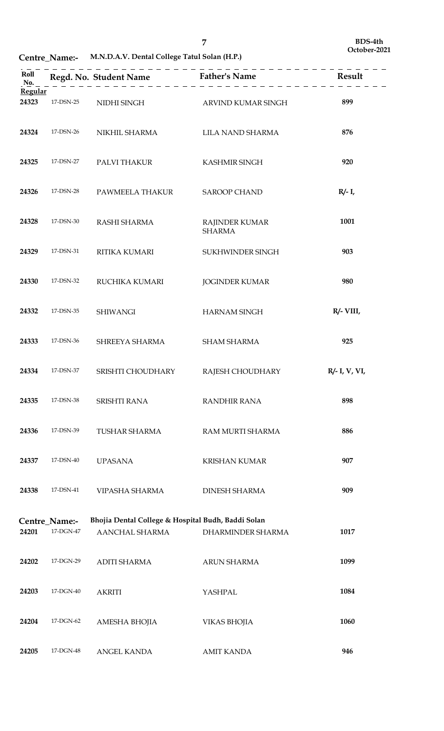**Centre\_Name:- M.N.D.A.V. Dental College Tatul Solan (H.P.)**

| Roll<br>No.      |                            |                                                                      | Regd. No. Student Name Father's Name Father's Mesult |               |
|------------------|----------------------------|----------------------------------------------------------------------|------------------------------------------------------|---------------|
| Regular<br>24323 | 17-DSN-25                  | NIDHI SINGH                                                          | ARVIND KUMAR SINGH                                   | 899           |
| 24324            | 17-DSN-26                  | NIKHIL SHARMA                                                        | LILA NAND SHARMA                                     | 876           |
| 24325            | 17-DSN-27                  | PALVI THAKUR                                                         | <b>KASHMIR SINGH</b>                                 | 920           |
| 24326            | 17-DSN-28                  | PAWMEELA THAKUR                                                      | <b>SAROOP CHAND</b>                                  | $R/- I$ ,     |
| 24328            | 17-DSN-30                  | RASHI SHARMA                                                         | RAJINDER KUMAR<br><b>SHARMA</b>                      | 1001          |
| 24329            | 17-DSN-31                  | RITIKA KUMARI                                                        | SUKHWINDER SINGH                                     | 903           |
| 24330            | 17-DSN-32                  | RUCHIKA KUMARI                                                       | <b>JOGINDER KUMAR</b>                                | 980           |
| 24332            | 17-DSN-35                  | <b>SHIWANGI</b>                                                      | <b>HARNAM SINGH</b>                                  | $R/- VIII$    |
| 24333            | 17-DSN-36                  | SHREEYA SHARMA                                                       | <b>SHAM SHARMA</b>                                   | 925           |
| 24334            | 17-DSN-37                  | SRISHTI CHOUDHARY                                                    | RAJESH CHOUDHARY                                     | R/- I, V, VI, |
| 24335            | 17-DSN-38                  | <b>SRISHTI RANA</b>                                                  | <b>RANDHIR RANA</b>                                  | 898           |
| 24336            | 17-DSN-39                  | <b>TUSHAR SHARMA</b>                                                 | RAM MURTI SHARMA                                     | 886           |
| 24337            | 17-DSN-40                  | <b>UPASANA</b>                                                       | <b>KRISHAN KUMAR</b>                                 | 907           |
| 24338            | 17-DSN-41                  | VIPASHA SHARMA                                                       | <b>DINESH SHARMA</b>                                 | 909           |
| 24201            | Centre_Name:-<br>17-DGN-47 | Bhojia Dental College & Hospital Budh, Baddi Solan<br>AANCHAL SHARMA | DHARMINDER SHARMA                                    | 1017          |
| 24202            | 17-DGN-29                  | <b>ADITI SHARMA</b>                                                  | <b>ARUN SHARMA</b>                                   | 1099          |
| 24203            | 17-DGN-40                  | <b>AKRITI</b>                                                        | YASHPAL                                              | 1084          |
| 24204            | 17-DGN-62                  | AMESHA BHOJIA                                                        | <b>VIKAS BHOJIA</b>                                  | 1060          |
| 24205            | 17-DGN-48                  | ANGEL KANDA                                                          | <b>AMIT KANDA</b>                                    | 946           |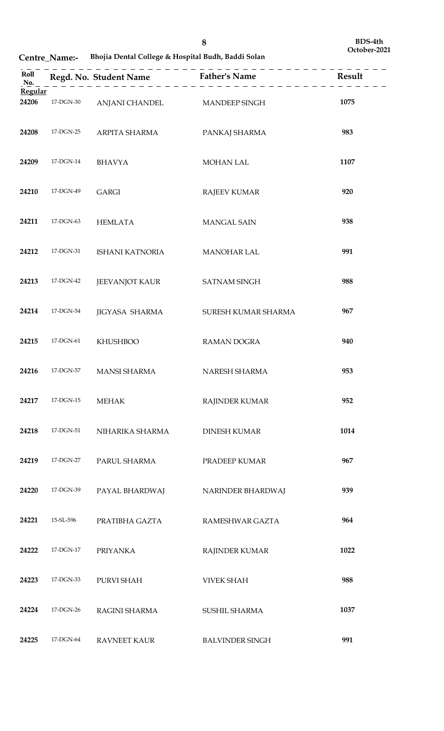**Centre\_Name:- Bhojia Dental College & Hospital Budh, Baddi Solan**

| Roll<br>No.      |           |                              | $    -$                |      |
|------------------|-----------|------------------------------|------------------------|------|
| Regular<br>24206 | 17-DGN-30 | ANJANI CHANDEL MANDEEP SINGH |                        | 1075 |
| 24208            | 17-DGN-25 | ARPITA SHARMA                | PANKAJ SHARMA          | 983  |
| 24209            | 17-DGN-14 | BHAVYA                       | MOHAN LAL              | 1107 |
| 24210            | 17-DGN-49 | <b>GARGI</b>                 | <b>RAJEEV KUMAR</b>    | 920  |
| 24211            | 17-DGN-63 | HEMLATA                      | <b>MANGAL SAIN</b>     | 938  |
| 24212            | 17-DGN-31 | ISHANI KATNORIA              | MANOHAR LAL            | 991  |
| 24213            | 17-DGN-42 | JEEVANJOT KAUR               | <b>SATNAM SINGH</b>    | 988  |
| 24214            | 17-DGN-54 | <b>JIGYASA SHARMA</b>        | SURESH KUMAR SHARMA    | 967  |
| 24215            | 17-DGN-61 | <b>KHUSHBOO</b>              | RAMAN DOGRA            | 940  |
| 24216            | 17-DGN-57 | MANSI SHARMA                 | NARESH SHARMA          | 953  |
| 24217            | 17-DGN-15 | <b>MEHAK</b>                 | RAJINDER KUMAR         | 952  |
| 24218            | 17-DGN-51 | NIHARIKA SHARMA              | <b>DINESH KUMAR</b>    | 1014 |
| 24219            | 17-DGN-27 | PARUL SHARMA                 | PRADEEP KUMAR          | 967  |
| 24220            | 17-DGN-39 | PAYAL BHARDWAJ               | NARINDER BHARDWAJ      | 939  |
| 24221            | 15-SL-596 | PRATIBHA GAZTA               | RAMESHWAR GAZTA        | 964  |
| 24222            | 17-DGN-17 | <b>PRIYANKA</b>              | RAJINDER KUMAR         | 1022 |
| 24223            | 17-DGN-33 | PURVI SHAH                   | <b>VIVEK SHAH</b>      | 988  |
| 24224            | 17-DGN-26 | RAGINI SHARMA                | SUSHIL SHARMA          | 1037 |
| 24225            | 17-DGN-64 | <b>RAVNEET KAUR</b>          | <b>BALVINDER SINGH</b> | 991  |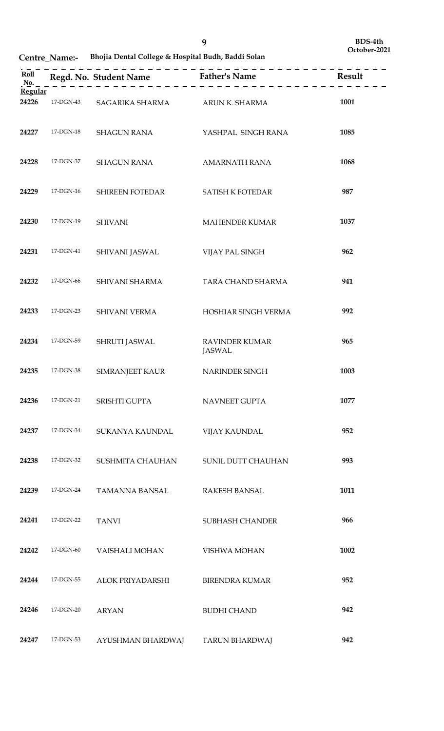**Centre\_Name:- Bhojia Dental College & Hospital Budh, Baddi Solan**

| Roll<br>No. |           |                                |                                        |      |
|-------------|-----------|--------------------------------|----------------------------------------|------|
| Regular     |           |                                |                                        |      |
| 24226       | 17-DGN-43 | SAGARIKA SHARMA ARUN K. SHARMA |                                        | 1001 |
| 24227       | 17-DGN-18 | <b>SHAGUN RANA</b>             | YASHPAL SINGH RANA                     | 1085 |
| 24228       | 17-DGN-37 | <b>SHAGUN RANA</b>             | <b>AMARNATH RANA</b>                   | 1068 |
| 24229       | 17-DGN-16 | SHIREEN FOTEDAR                | <b>SATISH K FOTEDAR</b>                | 987  |
| 24230       | 17-DGN-19 | <b>SHIVANI</b>                 | MAHENDER KUMAR                         | 1037 |
| 24231       | 17-DGN-41 | SHIVANI JASWAL                 | VIJAY PAL SINGH                        | 962  |
| 24232       | 17-DGN-66 | SHIVANI SHARMA                 | TARA CHAND SHARMA                      | 941  |
| 24233       | 17-DGN-23 | SHIVANI VERMA                  | HOSHIAR SINGH VERMA                    | 992  |
| 24234       | 17-DGN-59 | SHRUTI JASWAL                  | <b>RAVINDER KUMAR</b><br><b>JASWAL</b> | 965  |
| 24235       | 17-DGN-38 | <b>SIMRANJEET KAUR</b>         | NARINDER SINGH                         | 1003 |
| 24236       | 17-DGN-21 | SRISHTI GUPTA                  | NAVNEET GUPTA                          | 1077 |
| 24237       | 17-DGN-34 | <b>SUKANYA KAUNDAL</b>         | <b>VIJAY KAUNDAL</b>                   | 952  |
| 24238       | 17-DGN-32 | SUSHMITA CHAUHAN               | SUNIL DUTT CHAUHAN                     | 993  |
| 24239       | 17-DGN-24 | <b>TAMANNA BANSAL</b>          | <b>RAKESH BANSAL</b>                   | 1011 |
| 24241       | 17-DGN-22 | <b>TANVI</b>                   | <b>SUBHASH CHANDER</b>                 | 966  |
| 24242       | 17-DGN-60 | VAISHALI MOHAN                 | VISHWA MOHAN                           | 1002 |
| 24244       | 17-DGN-55 | ALOK PRIYADARSHI               | <b>BIRENDRA KUMAR</b>                  | 952  |
| 24246       | 17-DGN-20 | <b>ARYAN</b>                   | <b>BUDHI CHAND</b>                     | 942  |
| 24247       | 17-DGN-53 | AYUSHMAN BHARDWAJ              | TARUN BHARDWAJ                         | 942  |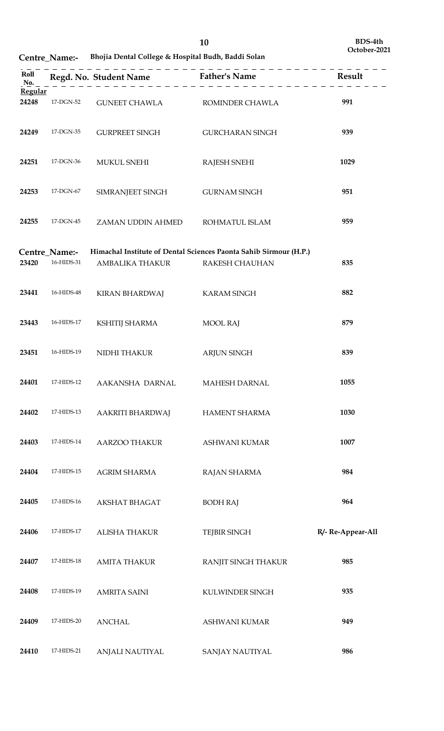**Centre\_Name:- Bhojia Dental College & Hospital Budh, Baddi Solan**

| Roll<br>No.      |                             |                      | -----------------------------                                                              |                   |
|------------------|-----------------------------|----------------------|--------------------------------------------------------------------------------------------|-------------------|
| Regular<br>24248 | 17-DGN-52                   | <b>GUNEET CHAWLA</b> | ROMINDER CHAWLA                                                                            | 991               |
| 24249            | 17-DGN-35                   | GURPREET SINGH       | GURCHARAN SINGH                                                                            | 939               |
| 24251            | 17-DGN-36                   | <b>MUKUL SNEHI</b>   | <b>RAJESH SNEHI</b>                                                                        | 1029              |
| 24253            | 17-DGN-67                   | SIMRANJEET SINGH     | <b>GURNAM SINGH</b>                                                                        | 951               |
| 24255            | 17-DGN-45                   | ZAMAN UDDIN AHMED    | ROHMATUL ISLAM                                                                             | 959               |
| 23420            | Centre_Name:-<br>16-HIDS-31 | AMBALIKA THAKUR      | Himachal Institute of Dental Sciences Paonta Sahib Sirmour (H.P.)<br><b>RAKESH CHAUHAN</b> | 835               |
| 23441            | 16-HIDS-48                  | KIRAN BHARDWAJ       | <b>KARAM SINGH</b>                                                                         | 882               |
| 23443            | 16-HIDS-17                  | KSHITIJ SHARMA       | <b>MOOL RAJ</b>                                                                            | 879               |
| 23451            | 16-HIDS-19                  | NIDHI THAKUR         | <b>ARJUN SINGH</b>                                                                         | 839               |
| 24401            | 17-HIDS-12                  | AAKANSHA DARNAL      | <b>MAHESH DARNAL</b>                                                                       | 1055              |
| 24402            | 17-HIDS-13                  | AAKRITI BHARDWAJ     | <b>HAMENT SHARMA</b>                                                                       | 1030              |
| 24403            | 17-HIDS-14                  | AARZOO THAKUR        | ASHWANI KUMAR                                                                              | 1007              |
| 24404            | 17-HIDS-15                  | <b>AGRIM SHARMA</b>  | RAJAN SHARMA                                                                               | 984               |
| 24405            | 17-HIDS-16                  | <b>AKSHAT BHAGAT</b> | <b>BODH RAJ</b>                                                                            | 964               |
| 24406            | 17-HIDS-17                  | <b>ALISHA THAKUR</b> | <b>TEJBIR SINGH</b>                                                                        | R/- Re-Appear-All |
| 24407            | 17-HIDS-18                  | <b>AMITA THAKUR</b>  | RANJIT SINGH THAKUR                                                                        | 985               |
| 24408            | 17-HIDS-19                  | <b>AMRITA SAINI</b>  | KULWINDER SINGH                                                                            | 935               |
| 24409            | 17-HIDS-20                  | <b>ANCHAL</b>        | <b>ASHWANI KUMAR</b>                                                                       | 949               |
| 24410            | 17-HIDS-21                  | ANJALI NAUTIYAL      | SANJAY NAUTIYAL                                                                            | 986               |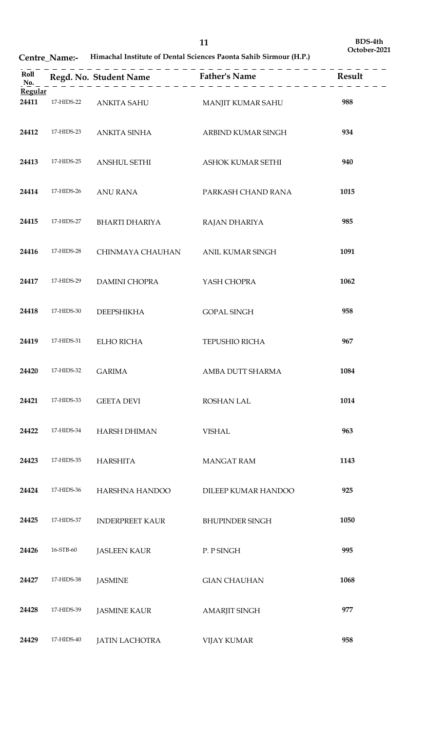| Roll<br>No.      |            |                        | Regd. No. Student Name<br>$F_{2} = 2$<br>$F_{3} = 2$<br>$F_{4} = 2$<br>$F_{5} = 2$<br>$F_{6} = 2$<br>$F_{7} = 2$<br>$F_{8} = 2$<br>$F_{9} = 2$<br>$F_{10} = 2$<br>$F_{11} = 2$<br>$F_{12} = 2$<br>$F_{13} = 2$<br>$F_{14} = 2$<br>$F_{15} = 2$<br>$    -$ |      |
|------------------|------------|------------------------|-----------------------------------------------------------------------------------------------------------------------------------------------------------------------------------------------------------------------------------------------------------|------|
| Regular<br>24411 | 17-HIDS-22 | ANKITA SAHU            | MANJIT KUMAR SAHU                                                                                                                                                                                                                                         | 988  |
| 24412            | 17-HIDS-23 | ANKITA SINHA           | ARBIND KUMAR SINGH                                                                                                                                                                                                                                        | 934  |
| 24413            | 17-HIDS-25 | <b>ANSHUL SETHI</b>    | ASHOK KUMAR SETHI                                                                                                                                                                                                                                         | 940  |
| 24414            | 17-HIDS-26 | <b>ANU RANA</b>        | PARKASH CHAND RANA                                                                                                                                                                                                                                        | 1015 |
| 24415            | 17-HIDS-27 | <b>BHARTI DHARIYA</b>  | RAJAN DHARIYA                                                                                                                                                                                                                                             | 985  |
| 24416            | 17-HIDS-28 | CHINMAYA CHAUHAN       | ANIL KUMAR SINGH                                                                                                                                                                                                                                          | 1091 |
| 24417            | 17-HIDS-29 | <b>DAMINI CHOPRA</b>   | YASH CHOPRA                                                                                                                                                                                                                                               | 1062 |
| 24418            | 17-HIDS-30 | <b>DEEPSHIKHA</b>      | <b>GOPAL SINGH</b>                                                                                                                                                                                                                                        | 958  |
| 24419            | 17-HIDS-31 | ELHO RICHA             | TEPUSHIO RICHA                                                                                                                                                                                                                                            | 967  |
| 24420            | 17-HIDS-32 | <b>GARIMA</b>          | AMBA DUTT SHARMA                                                                                                                                                                                                                                          | 1084 |
| 24421            | 17-HIDS-33 | <b>GEETA DEVI</b>      | <b>ROSHAN LAL</b>                                                                                                                                                                                                                                         | 1014 |
| 24422            | 17-HIDS-34 | <b>HARSH DHIMAN</b>    | <b>VISHAL</b>                                                                                                                                                                                                                                             | 963  |
| 24423            | 17-HIDS-35 | <b>HARSHITA</b>        | <b>MANGAT RAM</b>                                                                                                                                                                                                                                         | 1143 |
| 24424            | 17-HIDS-36 | HARSHNA HANDOO         | DILEEP KUMAR HANDOO                                                                                                                                                                                                                                       | 925  |
| 24425            | 17-HIDS-37 | <b>INDERPREET KAUR</b> | <b>BHUPINDER SINGH</b>                                                                                                                                                                                                                                    | 1050 |
| 24426            | 16-STB-60  | <b>JASLEEN KAUR</b>    | P. P SINGH                                                                                                                                                                                                                                                | 995  |
| 24427            | 17-HIDS-38 | <b>JASMINE</b>         | <b>GIAN CHAUHAN</b>                                                                                                                                                                                                                                       | 1068 |
| 24428            | 17-HIDS-39 | <b>JASMINE KAUR</b>    | <b>AMARJIT SINGH</b>                                                                                                                                                                                                                                      | 977  |
| 24429            | 17-HIDS-40 | <b>JATIN LACHOTRA</b>  | <b>VIJAY KUMAR</b>                                                                                                                                                                                                                                        | 958  |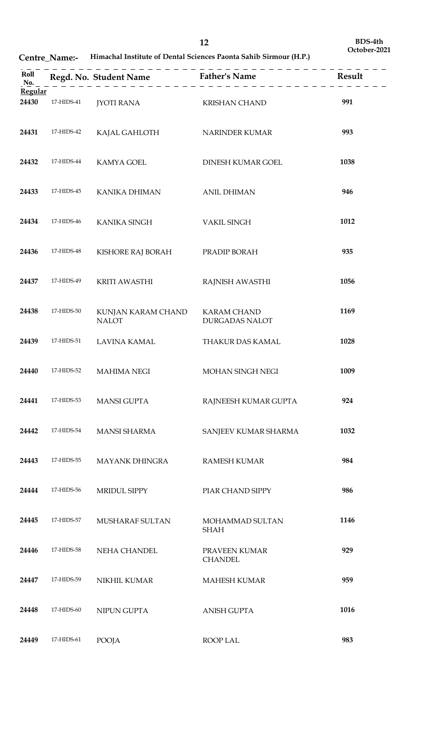| Roll<br>No. |            |                                    |                                             |      |
|-------------|------------|------------------------------------|---------------------------------------------|------|
| Regular     |            |                                    |                                             |      |
| 24430       | 17-HIDS-41 | JYOTI RANA                         | KRISHAN CHAND                               | 991  |
| 24431       | 17-HIDS-42 | KAJAL GAHLOTH                      | NARINDER KUMAR                              | 993  |
| 24432       | 17-HIDS-44 | <b>KAMYA GOEL</b>                  | DINESH KUMAR GOEL                           | 1038 |
| 24433       | 17-HIDS-45 | <b>KANIKA DHIMAN</b>               | <b>ANIL DHIMAN</b>                          | 946  |
| 24434       | 17-HIDS-46 | KANIKA SINGH                       | <b>VAKIL SINGH</b>                          | 1012 |
| 24436       | 17-HIDS-48 | KISHORE RAJ BORAH                  | PRADIP BORAH                                | 935  |
| 24437       | 17-HIDS-49 | KRITI AWASTHI                      | RAJNISH AWASTHI                             | 1056 |
| 24438       | 17-HIDS-50 | KUNJAN KARAM CHAND<br><b>NALOT</b> | <b>KARAM CHAND</b><br><b>DURGADAS NALOT</b> | 1169 |
| 24439       | 17-HIDS-51 | LAVINA KAMAL                       | THAKUR DAS KAMAL                            | 1028 |
| 24440       | 17-HIDS-52 | <b>MAHIMA NEGI</b>                 | MOHAN SINGH NEGI                            | 1009 |
| 24441       | 17-HIDS-53 | <b>MANSI GUPTA</b>                 | RAJNEESH KUMAR GUPTA                        | 924  |
| 24442       | 17-HIDS-54 | <b>MANSI SHARMA</b>                | SANJEEV KUMAR SHARMA                        | 1032 |
| 24443       | 17-HIDS-55 | <b>MAYANK DHINGRA</b>              | <b>RAMESH KUMAR</b>                         | 984  |
| 24444       | 17-HIDS-56 | MRIDUL SIPPY                       | PIAR CHAND SIPPY                            | 986  |
| 24445       | 17-HIDS-57 | MUSHARAF SULTAN                    | MOHAMMAD SULTAN<br><b>SHAH</b>              | 1146 |
| 24446       | 17-HIDS-58 | NEHA CHANDEL                       | PRAVEEN KUMAR<br><b>CHANDEL</b>             | 929  |
| 24447       | 17-HIDS-59 | NIKHIL KUMAR                       | <b>MAHESH KUMAR</b>                         | 959  |
| 24448       | 17-HIDS-60 | NIPUN GUPTA                        | <b>ANISH GUPTA</b>                          | 1016 |
| 24449       | 17-HIDS-61 | POOJA                              | ROOP LAL                                    | 983  |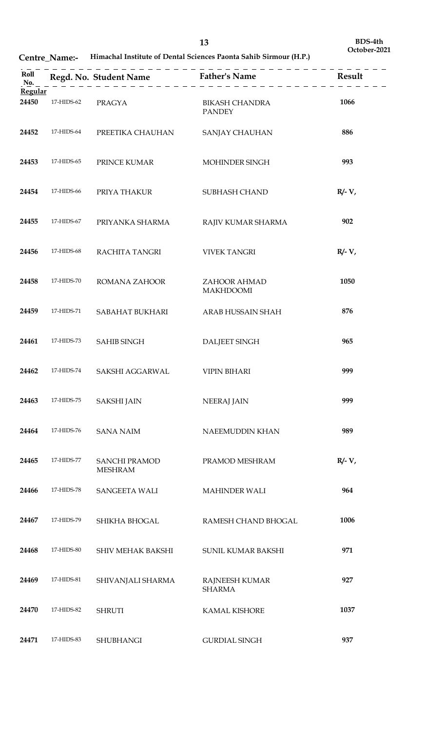| Roll<br>No.      |            |                                        | Regd. No. Student Name Father's Name Result |           |
|------------------|------------|----------------------------------------|---------------------------------------------|-----------|
| Regular<br>24450 | 17-HIDS-62 | <b>PRAGYA</b>                          | <b>BIKASH CHANDRA</b><br><b>PANDEY</b>      | 1066      |
| 24452            | 17-HIDS-64 | PREETIKA CHAUHAN                       | SANJAY CHAUHAN                              | 886       |
| 24453            | 17-HIDS-65 | PRINCE KUMAR                           | MOHINDER SINGH                              | 993       |
| 24454            | 17-HIDS-66 | PRIYA THAKUR                           | SUBHASH CHAND                               | $R/- V$ , |
| 24455            | 17-HIDS-67 | PRIYANKA SHARMA                        | RAJIV KUMAR SHARMA                          | 902       |
| 24456            | 17-HIDS-68 | RACHITA TANGRI                         | <b>VIVEK TANGRI</b>                         | $R/- V$ , |
| 24458            | 17-HIDS-70 | ROMANA ZAHOOR                          | ZAHOOR AHMAD<br><b>MAKHDOOMI</b>            | 1050      |
| 24459            | 17-HIDS-71 | SABAHAT BUKHARI                        | ARAB HUSSAIN SHAH                           | 876       |
| 24461            | 17-HIDS-73 | <b>SAHIB SINGH</b>                     | <b>DALJEET SINGH</b>                        | 965       |
| 24462            | 17-HIDS-74 | SAKSHI AGGARWAL                        | <b>VIPIN BIHARI</b>                         | 999       |
| 24463            | 17-HIDS-75 | <b>SAKSHI JAIN</b>                     | <b>NEERAJ JAIN</b>                          | 999       |
| 24464            | 17-HIDS-76 | <b>SANA NAIM</b>                       | NAEEMUDDIN KHAN                             | 989       |
| 24465            | 17-HIDS-77 | <b>SANCHI PRAMOD</b><br><b>MESHRAM</b> | PRAMOD MESHRAM                              | $R/- V$ , |
| 24466            | 17-HIDS-78 | SANGEETA WALI                          | <b>MAHINDER WALI</b>                        | 964       |
| 24467            | 17-HIDS-79 | SHIKHA BHOGAL                          | RAMESH CHAND BHOGAL                         | 1006      |
| 24468            | 17-HIDS-80 | SHIV MEHAK BAKSHI                      | SUNIL KUMAR BAKSHI                          | 971       |
| 24469            | 17-HIDS-81 | SHIVANJALI SHARMA                      | RAJNEESH KUMAR<br><b>SHARMA</b>             | 927       |
| 24470            | 17-HIDS-82 | <b>SHRUTI</b>                          | <b>KAMAL KISHORE</b>                        | 1037      |
| 24471            | 17-HIDS-83 | <b>SHUBHANGI</b>                       | <b>GURDIAL SINGH</b>                        | 937       |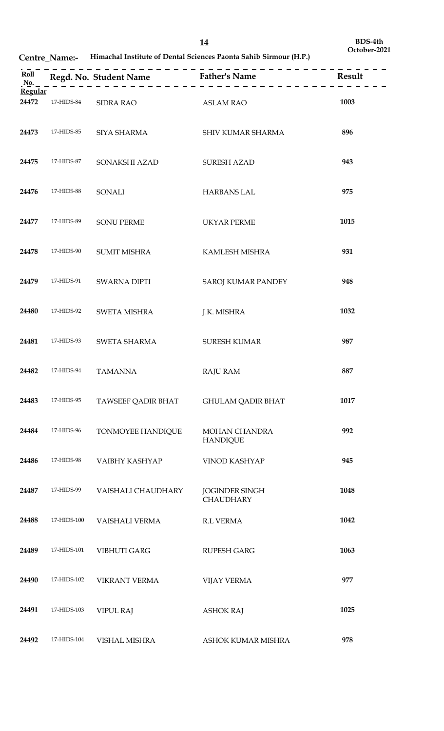|                  |             |                     | --------------------------------------    |      |
|------------------|-------------|---------------------|-------------------------------------------|------|
| Regular<br>24472 | 17-HIDS-84  | SIDRA RAO           | <b>ASLAM RAO</b>                          | 1003 |
| 24473            | 17-HIDS-85  | SIYA SHARMA         | SHIV KUMAR SHARMA                         | 896  |
| 24475            | 17-HIDS-87  | SONAKSHI AZAD       | <b>SURESH AZAD</b>                        | 943  |
| 24476            | 17-HIDS-88  | SONALI              | <b>HARBANS LAL</b>                        | 975  |
| 24477            | 17-HIDS-89  | <b>SONU PERME</b>   | <b>UKYAR PERME</b>                        | 1015 |
| 24478            | 17-HIDS-90  | <b>SUMIT MISHRA</b> | KAMLESH MISHRA                            | 931  |
| 24479            | 17-HIDS-91  | SWARNA DIPTI        | <b>SAROJ KUMAR PANDEY</b>                 | 948  |
| 24480            | 17-HIDS-92  | SWETA MISHRA        | J.K. MISHRA                               | 1032 |
| 24481            | 17-HIDS-93  | SWETA SHARMA        | <b>SURESH KUMAR</b>                       | 987  |
| 24482            | 17-HIDS-94  | <b>TAMANNA</b>      | <b>RAJU RAM</b>                           | 887  |
| 24483            | 17-HIDS-95  | TAWSEEF QADIR BHAT  | <b>GHULAM QADIR BHAT</b>                  | 1017 |
| 24484            | 17-HIDS-96  | TONMOYEE HANDIQUE   | <b>MOHAN CHANDRA</b><br><b>HANDIQUE</b>   | 992  |
| 24486            | 17-HIDS-98  | VAIBHY KASHYAP      | VINOD KASHYAP                             | 945  |
| 24487            | 17-HIDS-99  | VAISHALI CHAUDHARY  | <b>JOGINDER SINGH</b><br><b>CHAUDHARY</b> | 1048 |
| 24488            | 17-HIDS-100 | VAISHALI VERMA      | <b>R.L VERMA</b>                          | 1042 |
| 24489            | 17-HIDS-101 | <b>VIBHUTI GARG</b> | <b>RUPESH GARG</b>                        | 1063 |
| 24490            | 17-HIDS-102 | VIKRANT VERMA       | <b>VIJAY VERMA</b>                        | 977  |
| 24491            | 17-HIDS-103 | <b>VIPUL RAJ</b>    | <b>ASHOK RAJ</b>                          | 1025 |
| 24492            | 17-HIDS-104 | VISHAL MISHRA       | ASHOK KUMAR MISHRA                        | 978  |